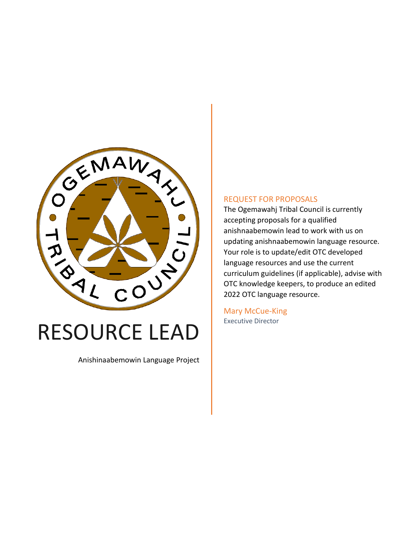

# RESOURCE LEAD

Anishinaabemowin Language Project

#### REQUEST FOR PROPOSALS

The Ogemawahj Tribal Council is currently accepting proposals for a qualified anishnaabemowin lead to work with us on updating anishnaabemowin language resource. Your role is to update/edit OTC developed language resources and use the current curriculum guidelines (if applicable), advise with OTC knowledge keepers, to produce an edited 2022 OTC language resource.

Mary McCue-King Executive Director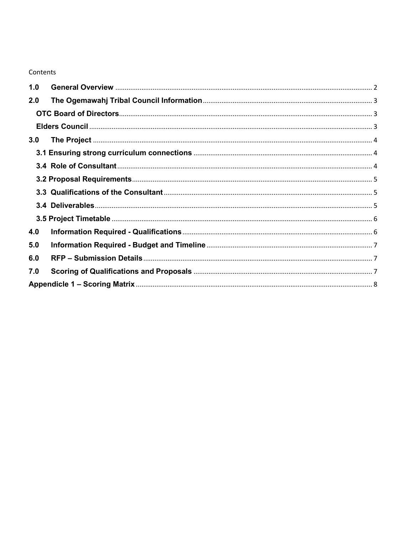#### Contents

| 1.0 |  |
|-----|--|
| 2.0 |  |
|     |  |
|     |  |
| 3.0 |  |
|     |  |
|     |  |
|     |  |
|     |  |
|     |  |
|     |  |
| 4.0 |  |
| 5.0 |  |
| 6.0 |  |
| 7.0 |  |
|     |  |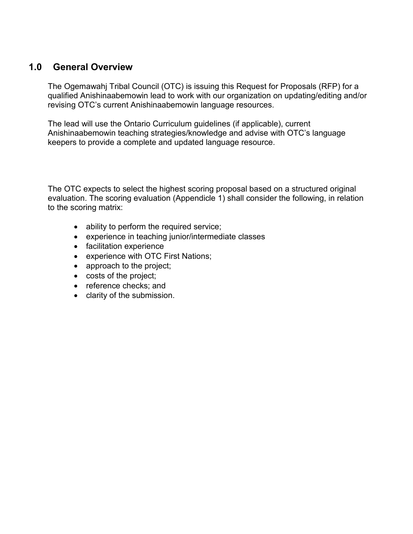### <span id="page-2-0"></span>**1.0 General Overview**

The Ogemawahj Tribal Council (OTC) is issuing this Request for Proposals (RFP) for a qualified Anishinaabemowin lead to work with our organization on updating/editing and/or revising OTC's current Anishinaabemowin language resources.

The lead will use the Ontario Curriculum guidelines (if applicable), current Anishinaabemowin teaching strategies/knowledge and advise with OTC's language keepers to provide a complete and updated language resource.

The OTC expects to select the highest scoring proposal based on a structured original evaluation. The scoring evaluation (Appendicle 1) shall consider the following, in relation to the scoring matrix:

- ability to perform the required service;
- experience in teaching junior/intermediate classes
- facilitation experience
- experience with OTC First Nations;
- approach to the project;
- costs of the project;
- reference checks; and
- <span id="page-2-1"></span>• clarity of the submission.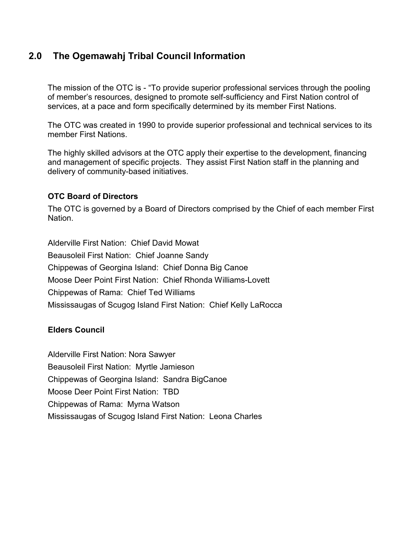## **2.0 The Ogemawahj Tribal Council Information**

The mission of the OTC is - "To provide superior professional services through the pooling of member's resources, designed to promote self-sufficiency and First Nation control of services, at a pace and form specifically determined by its member First Nations.

The OTC was created in 1990 to provide superior professional and technical services to its member First Nations.

The highly skilled advisors at the OTC apply their expertise to the development, financing and management of specific projects. They assist First Nation staff in the planning and delivery of community-based initiatives.

#### <span id="page-3-0"></span>**OTC Board of Directors**

The OTC is governed by a Board of Directors comprised by the Chief of each member First Nation.

Alderville First Nation: Chief David Mowat Beausoleil First Nation: Chief Joanne Sandy Chippewas of Georgina Island: Chief Donna Big Canoe Moose Deer Point First Nation: Chief Rhonda Williams-Lovett Chippewas of Rama: Chief Ted Williams Mississaugas of Scugog Island First Nation: Chief Kelly LaRocca

#### <span id="page-3-1"></span>**Elders Council**

<span id="page-3-2"></span>Alderville First Nation: Nora Sawyer Beausoleil First Nation: Myrtle Jamieson Chippewas of Georgina Island: Sandra BigCanoe Moose Deer Point First Nation: TBD Chippewas of Rama: Myrna Watson Mississaugas of Scugog Island First Nation: Leona Charles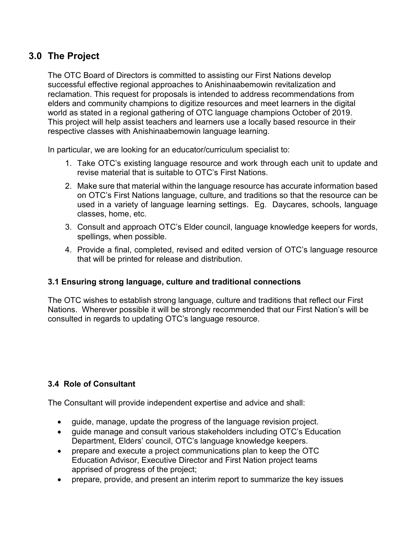## **3.0 The Project**

The OTC Board of Directors is committed to assisting our First Nations develop successful effective regional approaches to Anishinaabemowin revitalization and reclamation. This request for proposals is intended to address recommendations from elders and community champions to digitize resources and meet learners in the digital world as stated in a regional gathering of OTC language champions October of 2019. This project will help assist teachers and learners use a locally based resource in their respective classes with Anishinaabemowin language learning.

In particular, we are looking for an educator/curriculum specialist to:

- 1. Take OTC's existing language resource and work through each unit to update and revise material that is suitable to OTC's First Nations.
- 2. Make sure that material within the language resource has accurate information based on OTC's First Nations language, culture, and traditions so that the resource can be used in a variety of language learning settings. Eg. Daycares, schools, language classes, home, etc.
- 3. Consult and approach OTC's Elder council, language knowledge keepers for words, spellings, when possible.
- 4. Provide a final, completed, revised and edited version of OTC's language resource that will be printed for release and distribution.

#### <span id="page-4-0"></span>**3.1 Ensuring strong language, culture and traditional connections**

The OTC wishes to establish strong language, culture and traditions that reflect our First Nations. Wherever possible it will be strongly recommended that our First Nation's will be consulted in regards to updating OTC's language resource.

#### <span id="page-4-1"></span>**3.4 Role of Consultant**

The Consultant will provide independent expertise and advice and shall:

- guide, manage, update the progress of the language revision project.
- guide manage and consult various stakeholders including OTC's Education Department, Elders' council, OTC's language knowledge keepers.
- prepare and execute a project communications plan to keep the OTC Education Advisor, Executive Director and First Nation project teams apprised of progress of the project;
- prepare, provide, and present an interim report to summarize the key issues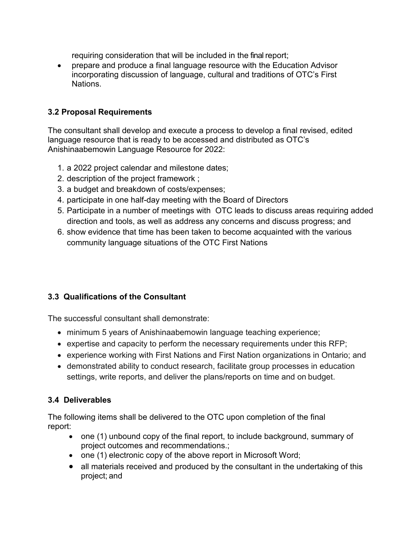requiring consideration that will be included in the final report;

• prepare and produce a final language resource with the Education Advisor incorporating discussion of language, cultural and traditions of OTC's First Nations.

#### <span id="page-5-0"></span>**3.2 Proposal Requirements**

The consultant shall develop and execute a process to develop a final revised, edited language resource that is ready to be accessed and distributed as OTC's Anishinaabemowin Language Resource for 2022:

- 1. a 2022 project calendar and milestone dates;
- 2. description of the project framework ;
- 3. a budget and breakdown of costs/expenses;
- 4. participate in one half-day meeting with the Board of Directors
- 5. Participate in a number of meetings with OTC leads to discuss areas requiring added direction and tools, as well as address any concerns and discuss progress; and
- 6. show evidence that time has been taken to become acquainted with the various community language situations of the OTC First Nations

#### <span id="page-5-1"></span>**3.3 Qualifications of the Consultant**

The successful consultant shall demonstrate:

- minimum 5 years of Anishinaabemowin language teaching experience;
- expertise and capacity to perform the necessary requirements under this RFP;
- experience working with First Nations and First Nation organizations in Ontario; and
- demonstrated ability to conduct research, facilitate group processes in education settings, write reports, and deliver the plans/reports on time and on budget.

#### <span id="page-5-2"></span>**3.4 Deliverables**

The following items shall be delivered to the OTC upon completion of the final report:

- one (1) unbound copy of the final report, to include background, summary of project outcomes and recommendations.;
- one (1) electronic copy of the above report in Microsoft Word;
- all materials received and produced by the consultant in the undertaking of this project; and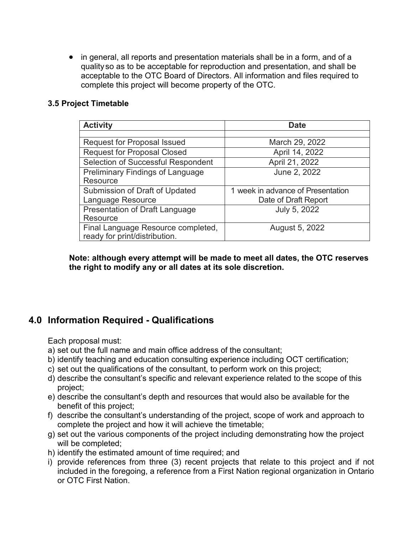• in general, all reports and presentation materials shall be in a form, and of a quality so as to be acceptable for reproduction and presentation, and shall be acceptable to the OTC Board of Directors. All information and files required to complete this project will become property of the OTC.

#### <span id="page-6-0"></span>**3.5 Project Timetable**

| <b>Activity</b>                         | <b>Date</b>                       |
|-----------------------------------------|-----------------------------------|
|                                         |                                   |
| <b>Request for Proposal Issued</b>      | March 29, 2022                    |
| <b>Request for Proposal Closed</b>      | April 14, 2022                    |
| Selection of Successful Respondent      | April 21, 2022                    |
| <b>Preliminary Findings of Language</b> | June 2, 2022                      |
| Resource                                |                                   |
| Submission of Draft of Updated          | 1 week in advance of Presentation |
| Language Resource                       | Date of Draft Report              |
| Presentation of Draft Language          | July 5, 2022                      |
| Resource                                |                                   |
| Final Language Resource completed,      | August 5, 2022                    |
| ready for print/distribution.           |                                   |

**Note: although every attempt will be made to meet all dates, the OTC reserves the right to modify any or all dates at its sole discretion.**

## <span id="page-6-1"></span>**4.0 Information Required - Qualifications**

Each proposal must:

- a) set out the full name and main office address of the consultant;
- b) identify teaching and education consulting experience including OCT certification;
- c) set out the qualifications of the consultant, to perform work on this project;
- d) describe the consultant's specific and relevant experience related to the scope of this project;
- e) describe the consultant's depth and resources that would also be available for the benefit of this project;
- f) describe the consultant's understanding of the project, scope of work and approach to complete the project and how it will achieve the timetable;
- g) set out the various components of the project including demonstrating how the project will be completed;
- h) identify the estimated amount of time required; and
- i) provide references from three (3) recent projects that relate to this project and if not included in the foregoing, a reference from a First Nation regional organization in Ontario or OTC First Nation.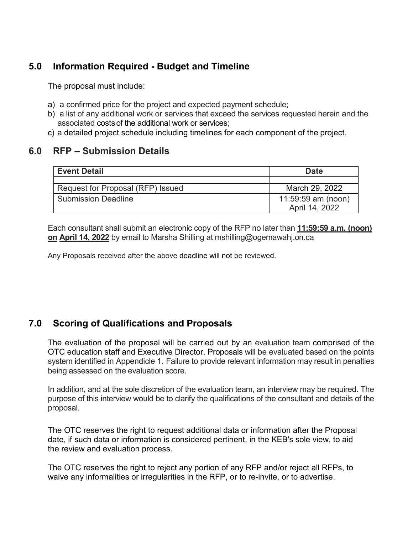## <span id="page-7-0"></span>**5.0 Information Required - Budget and Timeline**

The proposal must include:

- a) a confirmed price for the project and expected payment schedule;
- b) a list of any additional work or services that exceed the services requested herein and the associated costsof the additional work or services;
- c) a detailed project schedule including timelines for each component of the project.

## <span id="page-7-1"></span>**6.0 RFP – Submission Details**

| <b>Event Detail</b>               | <b>Date</b>                          |  |
|-----------------------------------|--------------------------------------|--|
|                                   |                                      |  |
| Request for Proposal (RFP) Issued | March 29, 2022                       |  |
| <b>Submission Deadline</b>        | 11:59:59 am (noon)<br>April 14, 2022 |  |

Each consultant shall submit an electronic copy of the RFP no later than **11:59:59 a.m. (noon) on April 14, 2022** by email to Marsha Shilling at mshilling@ogemawahj.on.ca

Any Proposals received after the above deadline will not be reviewed.

## <span id="page-7-2"></span>**7.0 Scoring of Qualifications and Proposals**

The evaluation of the proposal will be carried out by an evaluation team comprised of the OTC education staff and Executive Director. Proposals will be evaluated based on the points system identified in Appendicle 1. Failure to provide relevant information may result in penalties being assessed on the evaluation score.

In addition, and at the sole discretion of the evaluation team, an interview may be required. The purpose of this interview would be to clarify the qualifications of the consultant and details of the proposal.

The OTC reserves the right to request additional data or information after the Proposal date, if such data or information is considered pertinent, in the KEB's sole view, to aid the review and evaluation process.

The OTC reserves the right to reject any portion of any RFP and/or reject all RFPs, to waive any informalities or irregularities in the RFP, or to re-invite, or to advertise.